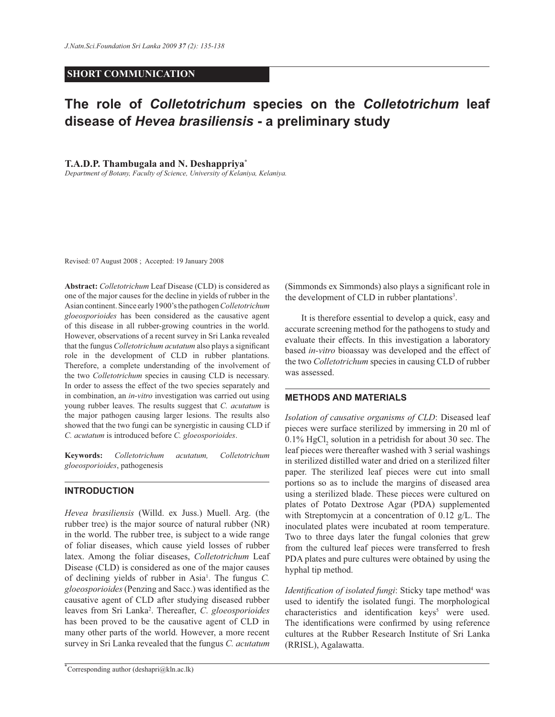# **SHORT COMMUNICATION**

# **The role of** *Colletotrichum* **species on the** *Colletotrichum* **leaf disease of** *Hevea brasiliensis* **- a preliminary study**

**T.A.D.P. Thambugala and N. Deshappriya\***

*Department of Botany, Faculty of Science, University of Kelaniya, Kelaniya.*

Revised: 07 August 2008 ; Accepted: 19 January 2008

**Abstract:** *Colletotrichum* Leaf Disease (CLD) is considered as one of the major causes for the decline in yields of rubber in the Asian continent. Since early 1900's the pathogen *Colletotrichum gloeosporioides* has been considered as the causative agent of this disease in all rubber-growing countries in the world. However, observations of a recent survey in Sri Lanka revealed that the fungus *Colletotrichum acutatum* also plays a significant role in the development of CLD in rubber plantations. Therefore, a complete understanding of the involvement of the two *Colletotrichum* species in causing CLD is necessary. In order to assess the effect of the two species separately and in combination, an *in-vitro* investigation was carried out using young rubber leaves. The results suggest that *C. acutatum* is the major pathogen causing larger lesions. The results also showed that the two fungi can be synergistic in causing CLD if *C. acutatum* is introduced before *C. gloeosporioides*.

**Keywords:** *Colletotrichum acutatum, Colletotrichum gloeosporioides*, pathogenesis

# **INTRODUCTION**

*Hevea brasiliensis* (Willd. ex Juss.) Muell. Arg. (the rubber tree) is the major source of natural rubber (NR) in the world. The rubber tree, is subject to a wide range of foliar diseases, which cause yield losses of rubber latex. Among the foliar diseases, *Colletotrichum* Leaf Disease (CLD) is considered as one of the major causes of declining yields of rubber in Asia<sup>1</sup>. The fungus *C*. *gloeosporioides* (Penzing and Sacc.) was identified as the causative agent of CLD after studying diseased rubber leaves from Sri Lanka<sup>2</sup> . Thereafter, *C*. *gloeosporioides* has been proved to be the causative agent of CLD in many other parts of the world. However, a more recent survey in Sri Lanka revealed that the fungus *C. acutatum*

\*Corresponding author (deshapri $(a)$ kln.ac.lk)

(Simmonds ex Simmonds) also plays a significant role in the development of CLD in rubber plantations<sup>3</sup>.

 It is therefore essential to develop a quick, easy and accurate screening method for the pathogens to study and evaluate their effects. In this investigation a laboratory based *in-vitro* bioassay was developed and the effect of the two *Colletotrichum* species in causing CLD of rubber was assessed.

# **METHODS AND MATERIALS**

*Isolation of causative organisms of CLD*: Diseased leaf pieces were surface sterilized by immersing in 20 ml of  $0.1\%$  HgCl<sub>2</sub> solution in a petridish for about 30 sec. The leaf pieces were thereafter washed with 3 serial washings in sterilized distilled water and dried on a sterilized filter paper. The sterilized leaf pieces were cut into small portions so as to include the margins of diseased area using a sterilized blade. These pieces were cultured on plates of Potato Dextrose Agar (PDA) supplemented with Streptomycin at a concentration of 0.12 g/L. The inoculated plates were incubated at room temperature. Two to three days later the fungal colonies that grew from the cultured leaf pieces were transferred to fresh PDA plates and pure cultures were obtained by using the hyphal tip method.

Identification of isolated fungi: Sticky tape method<sup>4</sup> was used to identify the isolated fungi. The morphological characteristics and identification keys<sup>5</sup> were used. The identifications were confirmed by using reference cultures at the Rubber Research Institute of Sri Lanka (RRISL), Agalawatta.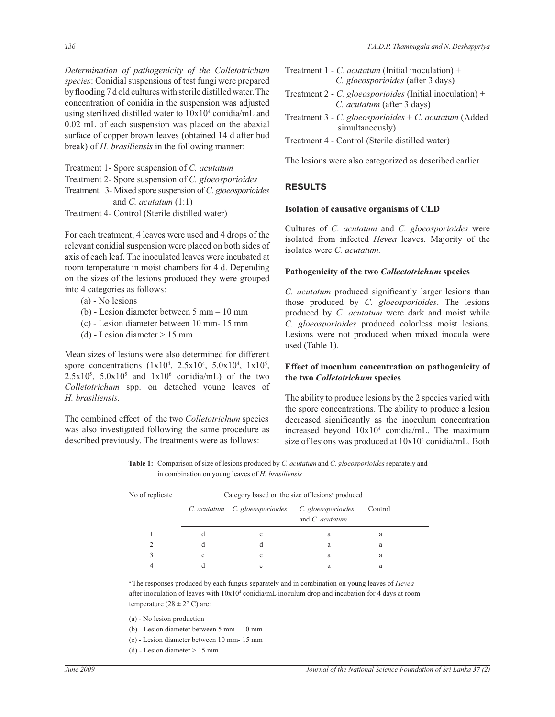*Determination of pathogenicity of the Colletotrichum species*: Conidial suspensions of test fungi were prepared by flooding 7 d old cultures with sterile distilled water. The concentration of conidia in the suspension was adjusted using sterilized distilled water to 10x10<sup>4</sup> conidia/mL and 0.02 mL of each suspension was placed on the abaxial surface of copper brown leaves (obtained 14 d after bud break) of *H. brasiliensis* in the following manner:

Treatment 1- Spore suspension of *C. acutatum*

Treatment 2- Spore suspension of *C. gloeosporioides*

Treatment 3- Mixed spore suspension of *C. gloeosporioides* and *C. acutatum* (1:1)

Treatment 4- Control (Sterile distilled water)

For each treatment, 4 leaves were used and 4 drops of the relevant conidial suspension were placed on both sides of axis of each leaf. The inoculated leaves were incubated at room temperature in moist chambers for 4 d. Depending on the sizes of the lesions produced they were grouped into 4 categories as follows:

- (a) No lesions
- (b) Lesion diameter between 5 mm 10 mm
- (c) Lesion diameter between 10 mm- 15 mm
- (d) Lesion diameter  $> 15$  mm

Mean sizes of lesions were also determined for different spore concentrations  $(1x10^4, 2.5x10^4, 5.0x10^4, 1x10^5,$  $2.5x10^5$ ,  $5.0x10^5$  and  $1x10^6$  conidia/mL) of the two *Colletotrichum* spp. on detached young leaves of *H. brasiliensis*.

The combined effect of the two *Colletotrichum* species was also investigated following the same procedure as described previously. The treatments were as follows:

- Treatment 1 *C. acutatum* (Initial inoculation) + *C. gloeosporioides* (after 3 days)
- Treatment 2 *C. gloeosporioides* (Initial inoculation) + *C. acutatum* (after 3 days)
- Treatment 3 *C. gloeosporioides* + *C*. *acutatum* (Added simultaneously)
- Treatment 4 Control (Sterile distilled water)

The lesions were also categorized as described earlier.

# **RESULTS**

#### **Isolation of causative organisms of CLD**

Cultures of *C. acutatum* and *C. gloeosporioides* were isolated from infected *Hevea* leaves. Majority of the isolates were *C. acutatum.*

#### **Pathogenicity of the two** *Collectotrichum* **species**

*C. acutatum* produced significantly larger lesions than those produced by *C. gloeosporioides*. The lesions produced by *C. acutatum* were dark and moist while *C. gloeosporioides* produced colorless moist lesions. Lesions were not produced when mixed inocula were used (Table 1).

## **Effect of inoculum concentration on pathogenicity of the two** *Colletotrichum* **species**

The ability to produce lesions by the 2 species varied with the spore concentrations. The ability to produce a lesion decreased significantly as the inoculum concentration increased beyond 10x10<sup>4</sup> conidia/mL. The maximum size of lesions was produced at  $10x10^4$  conidia/mL. Both

**Table 1:** Comparison of size of lesions produced by *C. acutatum* and *C. gloeosporioides* separately and in combination on young leaves of *H. brasiliensis*

| No of replicate | Category based on the size of lesions <sup>x</sup> produced |                                                   |                        |         |  |  |  |  |
|-----------------|-------------------------------------------------------------|---------------------------------------------------|------------------------|---------|--|--|--|--|
|                 |                                                             |                                                   |                        |         |  |  |  |  |
|                 |                                                             | C. acutatum C. gloeosporioides C. gloeosporioides |                        | Control |  |  |  |  |
|                 |                                                             |                                                   | and <i>C. acutatum</i> |         |  |  |  |  |
|                 |                                                             | с                                                 | a                      | а       |  |  |  |  |
|                 |                                                             |                                                   | a                      | а       |  |  |  |  |
|                 | c                                                           | с                                                 | a                      | а       |  |  |  |  |
|                 |                                                             |                                                   | a                      | а       |  |  |  |  |

<sup>x</sup>The responses produced by each fungus separately and in combination on young leaves of *Hevea*  after inoculation of leaves with  $10x10^4$  conidia/mL inoculum drop and incubation for 4 days at room temperature  $(28 \pm 2^{\circ} \text{ C})$  are:

(a) - No lesion production

- (b) Lesion diameter between 5 mm 10 mm
- (c) Lesion diameter between 10 mm- 15 mm
- (d) Lesion diameter > 15 mm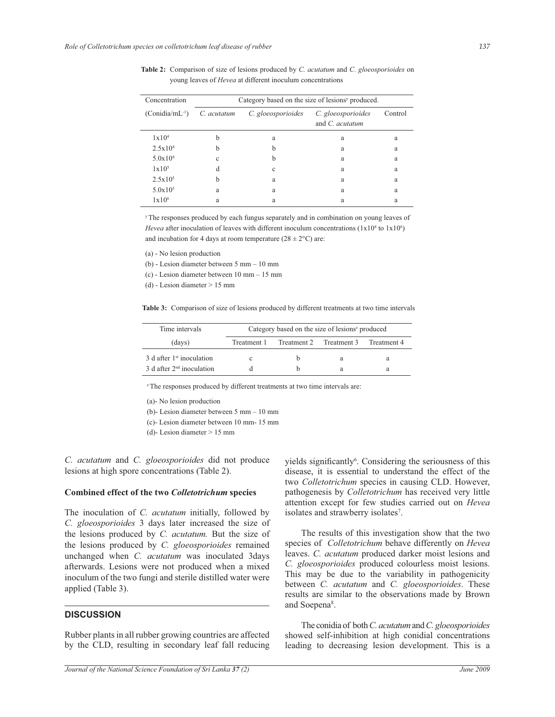| Concentration        | Category based on the size of lesions <sup>y</sup> produced. |                    |                           |         |
|----------------------|--------------------------------------------------------------|--------------------|---------------------------|---------|
| $(Conidian/mL^{-1})$ | C. acutatum                                                  | C. gloeosporioides | C. gloeosporioides        | Control |
|                      |                                                              |                    | and $C$ , <i>acutatum</i> |         |
| $1 \times 10^4$      | b                                                            | a                  | a                         | a       |
| $2.5x10^4$           | h                                                            | b                  | a                         | a       |
| $5.0x10^4$           | Ċ                                                            | b                  | a                         | a       |
| $1 \times 10^5$      | d                                                            | Ċ                  | a                         | a       |
| $2.5x10^{5}$         | h                                                            | a                  | a                         | a       |
| $5.0x10^5$           | a                                                            | a                  | a                         | a       |
| $1 \times 10^{6}$    | a                                                            | a                  | a                         | a       |

**Table 2:** Comparison of size of lesions produced by *C. acutatum* and *C. gloeosporioides* on young leaves of *Hevea* at different inoculum concentrations

<sup>y</sup>The responses produced by each fungus separately and in combination on young leaves of *Hevea* after inoculation of leaves with different inoculum concentrations  $(1x10<sup>4</sup>$  to  $1x10<sup>6</sup>)$ and incubation for 4 days at room temperature  $(28 \pm 2^{\circ}C)$  are:

(a) - No lesion production

(b) - Lesion diameter between 5 mm – 10 mm

(c) - Lesion diameter between 10 mm – 15 mm

(d) - Lesion diameter > 15 mm

**Table 3:** Comparison of size of lesions produced by different treatments at two time intervals

| Time intervals                | Category based on the size of lesions <sup>2</sup> produced |                         |   |             |  |
|-------------------------------|-------------------------------------------------------------|-------------------------|---|-------------|--|
| (days)                        | Treatment 1                                                 | Treatment 2 Treatment 3 |   | Treatment 4 |  |
| $3$ d after $1st$ inoculation |                                                             |                         | а | а           |  |
| $3$ d after $2nd$ inoculation |                                                             | h                       |   |             |  |

<sup>z</sup>The responses produced by different treatments at two time intervals are:

(a)- No lesion production

(b)- Lesion diameter between 5 mm – 10 mm

(c)- Lesion diameter between 10 mm- 15 mm

(d)- Lesion diameter > 15 mm

*C. acutatum* and *C. gloeosporioides* did not produce lesions at high spore concentrations (Table 2).

## **Combined effect of the two** *Colletotrichum* **species**

The inoculation of *C. acutatum* initially, followed by *C. gloeosporioides* 3 days later increased the size of the lesions produced by *C. acutatum.* But the size of the lesions produced by *C. gloeosporioides* remained unchanged when *C. acutatum* was inoculated 3days afterwards. Lesions were not produced when a mixed inoculum of the two fungi and sterile distilled water were applied (Table 3).

## **DISCUSSION**

Rubber plants in all rubber growing countries are affected by the CLD, resulting in secondary leaf fall reducing

yields significantly<sup>6</sup>. Considering the seriousness of this disease, it is essential to understand the effect of the two *Colletotrichum* species in causing CLD. However, pathogenesis by *Colletotrichum* has received very little attention except for few studies carried out on *Hevea*  isolates and strawberry isolates<sup>7</sup>.

 The results of this investigation show that the two species of *Colletotrichum* behave differently on *Hevea*  leaves. *C. acutatum* produced darker moist lesions and *C. gloeosporioides* produced colourless moist lesions. This may be due to the variability in pathogenicity between *C. acutatum* and *C. gloeosporioides*. These results are similar to the observations made by Brown and Soepena<sup>8</sup>.

 The conidia of both *C. acutatum* and *C. gloeosporioides* showed self-inhibition at high conidial concentrations leading to decreasing lesion development. This is a